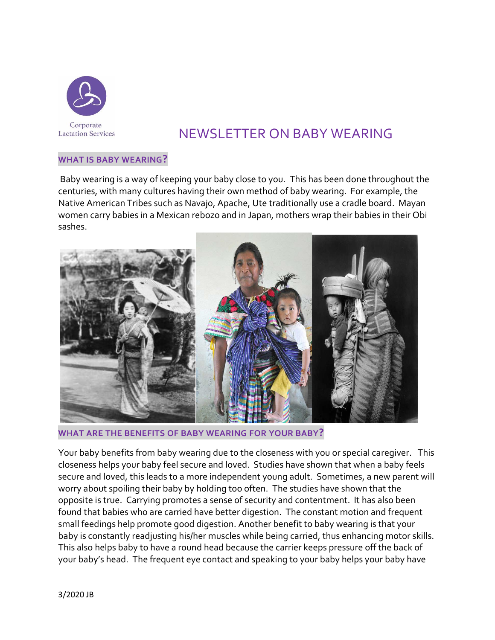

# NEWSLETTER ON BABY WEARING

#### **WHAT IS BABY WEARING?**

Baby wearing is a way of keeping your baby close to you. This has been done throughout the centuries, with many cultures having their own method of baby wearing. For example, the Native American Tribes such as Navajo, Apache, Ute traditionally use a cradle board. Mayan women carry babies in a Mexican rebozo and in Japan, mothers wrap their babies in their Obi sashes.



**WHAT ARE THE BENEFITS OF BABY WEARING FOR YOUR BABY?**

Your baby benefits from baby wearing due to the closeness with you or special caregiver. This closeness helps your baby feel secure and loved. Studies have shown that when a baby feels secure and loved, this leads to a more independent young adult. Sometimes, a new parent will worry about spoiling their baby by holding too often. The studies have shown that the opposite is true. Carrying promotes a sense of security and contentment. It has also been found that babies who are carried have better digestion. The constant motion and frequent small feedings help promote good digestion. Another benefit to baby wearing is that your baby is constantly readjusting his/her muscles while being carried, thus enhancing motor skills. This also helps baby to have a round head because the carrier keeps pressure off the back of your baby's head. The frequent eye contact and speaking to your baby helps your baby have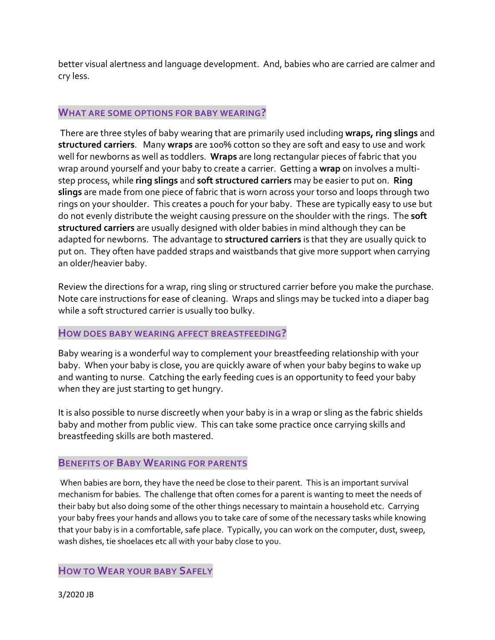better visual alertness and language development. And, babies who are carried are calmer and cry less.

#### **WHAT ARE SOME OPTIONS FOR BABY WEARING?**

There are three styles of baby wearing that are primarily used including **wraps, ring slings** and **structured carriers**. Many **wraps** are 100% cotton so they are soft and easy to use and work well for newborns as well as toddlers. **Wraps** are long rectangular pieces of fabric that you wrap around yourself and your baby to create a carrier. Getting a **wrap** on involves a multistep process, while **ring slings** and **soft structured carriers** may be easier to put on. **Ring slings** are made from one piece of fabric that is worn across your torso and loops through two rings on your shoulder. This creates a pouch for your baby. These are typically easy to use but do not evenly distribute the weight causing pressure on the shoulder with the rings. The **soft structured carriers** are usually designed with older babies in mind although they can be adapted for newborns. The advantage to **structured carriers** is that they are usually quick to put on. They often have padded straps and waistbands that give more support when carrying an older/heavier baby.

Review the directions for a wrap, ring sling or structured carrier before you make the purchase. Note care instructions for ease of cleaning. Wraps and slings may be tucked into a diaper bag while a soft structured carrier is usually too bulky.

#### **HOW DOES BABY WEARING AFFECT BREASTFEEDING?**

Baby wearing is a wonderful way to complement your breastfeeding relationship with your baby. When your baby is close, you are quickly aware of when your baby begins to wake up and wanting to nurse. Catching the early feeding cues is an opportunity to feed your baby when they are just starting to get hungry.

It is also possible to nurse discreetly when your baby is in a wrap or sling as the fabric shields baby and mother from public view. This can take some practice once carrying skills and breastfeeding skills are both mastered.

## **BENEFITS OF BABY WEARING FOR PARENTS**

When babies are born, they have the need be close to their parent. This is an important survival mechanism for babies. The challenge that often comes for a parent is wanting to meet the needs of their baby but also doing some of the other things necessary to maintain a household etc. Carrying your baby frees your hands and allows you to take care of some of the necessary tasks while knowing that your baby is in a comfortable, safe place. Typically, you can work on the computer, dust, sweep, wash dishes, tie shoelaces etc all with your baby close to you.

**HOW TO WEAR YOUR BABY SAFELY**